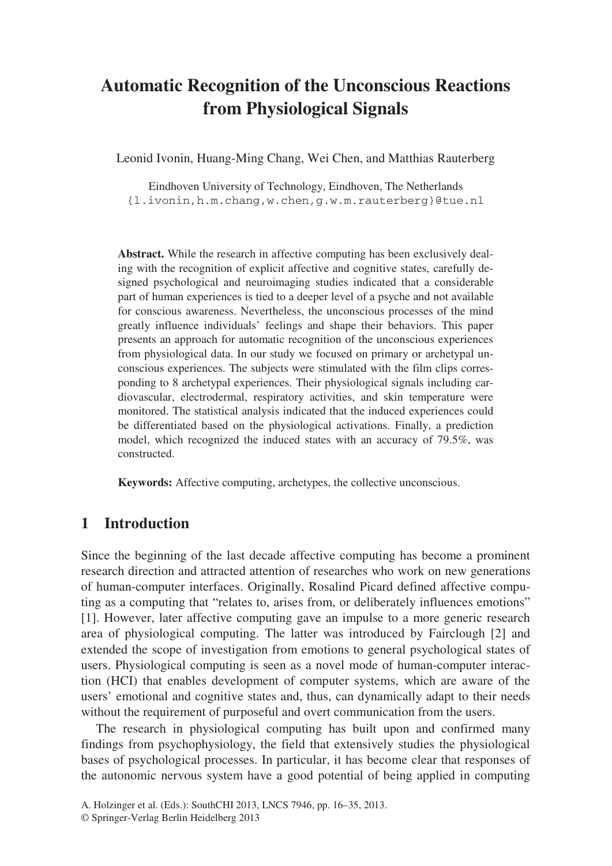# **Automatic Recognition of the Unconscious Reactions from Physiological Signals**

Leonid Ivonin, Huang-Ming Chang, Wei Chen, and Matthias Rauterberg

Eindhoven University of Technology, Eindhoven, The Netherlands {l.ivonin,h.m.chang,w.chen,g.w.m.rauterberg}@tue.nl

**Abstract.** While the research in affective computing has been exclusively dealing with the recognition of explicit affective and cognitive states, carefully designed psychological and neuroimaging studies indicated that a considerable part of human experiences is tied to a deeper level of a psyche and not available for conscious awareness. Nevertheless, the unconscious processes of the mind greatly influence individuals' feelings and shape their behaviors. This paper presents an approach for automatic recognition of the unconscious experiences from physiological data. In our study we focused on primary or archetypal unconscious experiences. The subjects were stimulated with the film clips corresponding to 8 archetypal experiences. Their physiological signals including cardiovascular, electrodermal, respiratory activities, and skin temperature were monitored. The statistical analysis indicated that the induced experiences could be differentiated based on the physiological activations. Finally, a prediction model, which recognized the induced states with an accuracy of 79.5%, was constructed.

**Keywords:** Affective computing, archetypes, the collective unconscious.

### **1 Introduction**

Since the beginning of the last decade affective computing has become a prominent research direction and attracted attention of researches who work on new generations of human-computer interfaces. Originally, Rosalind Picard defined affective computing as a computing that "relates to, arises from, or deliberately influences emotions" [1]. However, later affective computing gave an impulse to a more generic research area of physiological computing. The latter was introduced by Fairclough [2] and extended the scope of investigation from emotions to general psychological states of users. Physiological computing is seen as a novel mode of human-computer interaction (HCI) that enables development of computer systems, which are aware of the users' emotional and cognitive states and, thus, can dynamically adapt to their needs without the requirement of purposeful and overt communication from the users.

The research in physiological computing has built upon and confirmed many findings from psychophysiology, the field that extensively studies the physiological bases of psychological processes. In particular, it has become clear that responses of the autonomic nervous system have a good potential of being applied in computing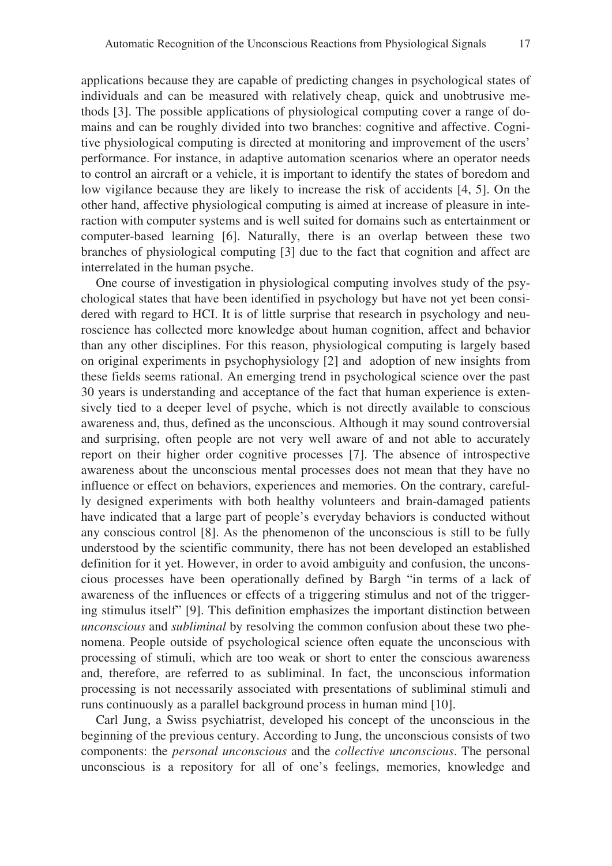applications because they are capable of predicting changes in psychological states of individuals and can be measured with relatively cheap, quick and unobtrusive methods [3]. The possible applications of physiological computing cover a range of domains and can be roughly divided into two branches: cognitive and affective. Cognitive physiological computing is directed at monitoring and improvement of the users' performance. For instance, in adaptive automation scenarios where an operator needs to control an aircraft or a vehicle, it is important to identify the states of boredom and low vigilance because they are likely to increase the risk of accidents [4, 5]. On the other hand, affective physiological computing is aimed at increase of pleasure in interaction with computer systems and is well suited for domains such as entertainment or computer-based learning [6]. Naturally, there is an overlap between these two branches of physiological computing [3] due to the fact that cognition and affect are interrelated in the human psyche.

One course of investigation in physiological computing involves study of the psychological states that have been identified in psychology but have not yet been considered with regard to HCI. It is of little surprise that research in psychology and neuroscience has collected more knowledge about human cognition, affect and behavior than any other disciplines. For this reason, physiological computing is largely based on original experiments in psychophysiology [2] and adoption of new insights from these fields seems rational. An emerging trend in psychological science over the past 30 years is understanding and acceptance of the fact that human experience is extensively tied to a deeper level of psyche, which is not directly available to conscious awareness and, thus, defined as the unconscious. Although it may sound controversial and surprising, often people are not very well aware of and not able to accurately report on their higher order cognitive processes [7]. The absence of introspective awareness about the unconscious mental processes does not mean that they have no influence or effect on behaviors, experiences and memories. On the contrary, carefully designed experiments with both healthy volunteers and brain-damaged patients have indicated that a large part of people's everyday behaviors is conducted without any conscious control [8]. As the phenomenon of the unconscious is still to be fully understood by the scientific community, there has not been developed an established definition for it yet. However, in order to avoid ambiguity and confusion, the unconscious processes have been operationally defined by Bargh "in terms of a lack of awareness of the influences or effects of a triggering stimulus and not of the triggering stimulus itself" [9]. This definition emphasizes the important distinction between *unconscious* and *subliminal* by resolving the common confusion about these two phenomena. People outside of psychological science often equate the unconscious with processing of stimuli, which are too weak or short to enter the conscious awareness and, therefore, are referred to as subliminal. In fact, the unconscious information processing is not necessarily associated with presentations of subliminal stimuli and runs continuously as a parallel background process in human mind [10].

Carl Jung, a Swiss psychiatrist, developed his concept of the unconscious in the beginning of the previous century. According to Jung, the unconscious consists of two components: the *personal unconscious* and the *collective unconscious*. The personal unconscious is a repository for all of one's feelings, memories, knowledge and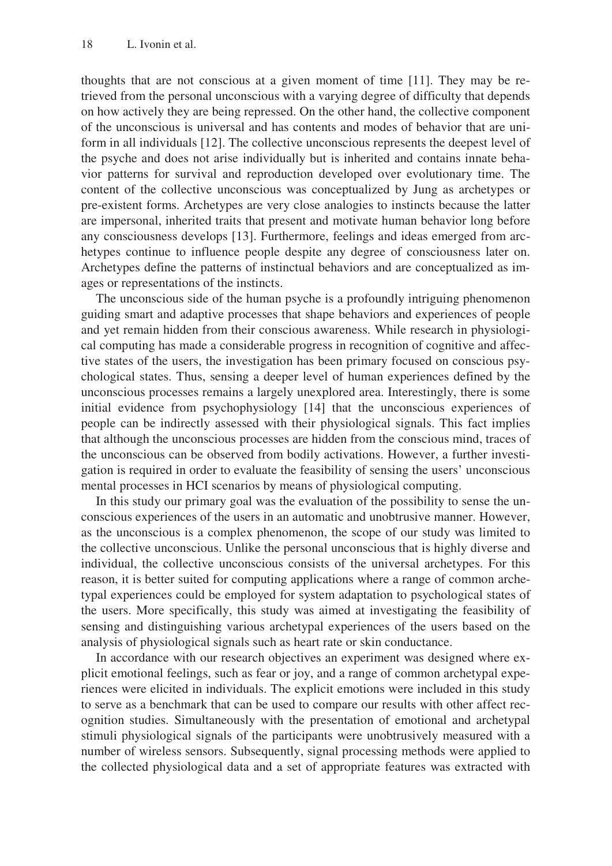thoughts that are not conscious at a given moment of time [11]. They may be retrieved from the personal unconscious with a varying degree of difficulty that depends on how actively they are being repressed. On the other hand, the collective component of the unconscious is universal and has contents and modes of behavior that are uniform in all individuals [12]. The collective unconscious represents the deepest level of the psyche and does not arise individually but is inherited and contains innate behavior patterns for survival and reproduction developed over evolutionary time. The content of the collective unconscious was conceptualized by Jung as archetypes or pre-existent forms. Archetypes are very close analogies to instincts because the latter are impersonal, inherited traits that present and motivate human behavior long before any consciousness develops [13]. Furthermore, feelings and ideas emerged from archetypes continue to influence people despite any degree of consciousness later on. Archetypes define the patterns of instinctual behaviors and are conceptualized as images or representations of the instincts.

The unconscious side of the human psyche is a profoundly intriguing phenomenon guiding smart and adaptive processes that shape behaviors and experiences of people and yet remain hidden from their conscious awareness. While research in physiological computing has made a considerable progress in recognition of cognitive and affective states of the users, the investigation has been primary focused on conscious psychological states. Thus, sensing a deeper level of human experiences defined by the unconscious processes remains a largely unexplored area. Interestingly, there is some initial evidence from psychophysiology [14] that the unconscious experiences of people can be indirectly assessed with their physiological signals. This fact implies that although the unconscious processes are hidden from the conscious mind, traces of the unconscious can be observed from bodily activations. However, a further investigation is required in order to evaluate the feasibility of sensing the users' unconscious mental processes in HCI scenarios by means of physiological computing.

In this study our primary goal was the evaluation of the possibility to sense the unconscious experiences of the users in an automatic and unobtrusive manner. However, as the unconscious is a complex phenomenon, the scope of our study was limited to the collective unconscious. Unlike the personal unconscious that is highly diverse and individual, the collective unconscious consists of the universal archetypes. For this reason, it is better suited for computing applications where a range of common archetypal experiences could be employed for system adaptation to psychological states of the users. More specifically, this study was aimed at investigating the feasibility of sensing and distinguishing various archetypal experiences of the users based on the analysis of physiological signals such as heart rate or skin conductance.

In accordance with our research objectives an experiment was designed where explicit emotional feelings, such as fear or joy, and a range of common archetypal experiences were elicited in individuals. The explicit emotions were included in this study to serve as a benchmark that can be used to compare our results with other affect recognition studies. Simultaneously with the presentation of emotional and archetypal stimuli physiological signals of the participants were unobtrusively measured with a number of wireless sensors. Subsequently, signal processing methods were applied to the collected physiological data and a set of appropriate features was extracted with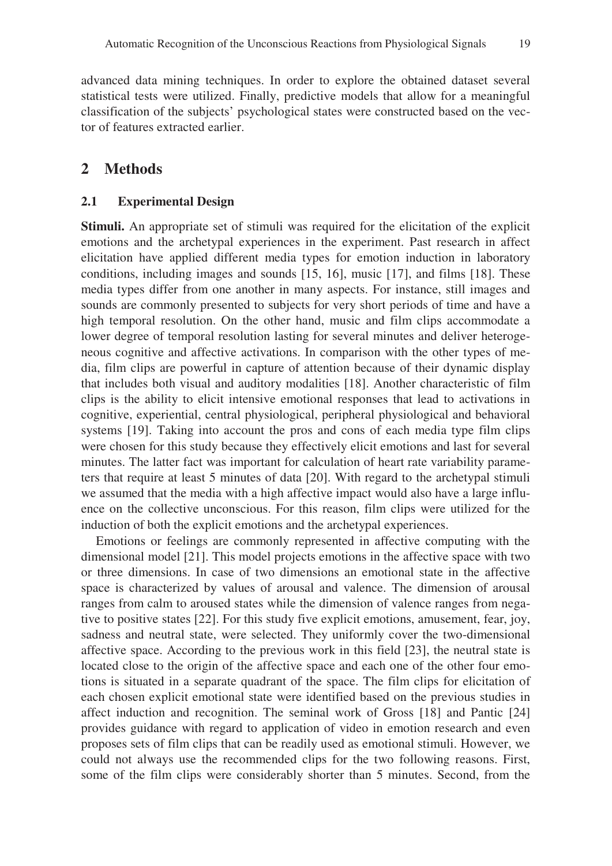advanced data mining techniques. In order to explore the obtained dataset several statistical tests were utilized. Finally, predictive models that allow for a meaningful classification of the subjects' psychological states were constructed based on the vector of features extracted earlier.

### **2 Methods**

#### **2.1 Experimental Design**

**Stimuli.** An appropriate set of stimuli was required for the elicitation of the explicit emotions and the archetypal experiences in the experiment. Past research in affect elicitation have applied different media types for emotion induction in laboratory conditions, including images and sounds [15, 16], music [17], and films [18]. These media types differ from one another in many aspects. For instance, still images and sounds are commonly presented to subjects for very short periods of time and have a high temporal resolution. On the other hand, music and film clips accommodate a lower degree of temporal resolution lasting for several minutes and deliver heterogeneous cognitive and affective activations. In comparison with the other types of media, film clips are powerful in capture of attention because of their dynamic display that includes both visual and auditory modalities [18]. Another characteristic of film clips is the ability to elicit intensive emotional responses that lead to activations in cognitive, experiential, central physiological, peripheral physiological and behavioral systems [19]. Taking into account the pros and cons of each media type film clips were chosen for this study because they effectively elicit emotions and last for several minutes. The latter fact was important for calculation of heart rate variability parameters that require at least 5 minutes of data [20]. With regard to the archetypal stimuli we assumed that the media with a high affective impact would also have a large influence on the collective unconscious. For this reason, film clips were utilized for the induction of both the explicit emotions and the archetypal experiences.

Emotions or feelings are commonly represented in affective computing with the dimensional model [21]. This model projects emotions in the affective space with two or three dimensions. In case of two dimensions an emotional state in the affective space is characterized by values of arousal and valence. The dimension of arousal ranges from calm to aroused states while the dimension of valence ranges from negative to positive states [22]. For this study five explicit emotions, amusement, fear, joy, sadness and neutral state, were selected. They uniformly cover the two-dimensional affective space. According to the previous work in this field [23], the neutral state is located close to the origin of the affective space and each one of the other four emotions is situated in a separate quadrant of the space. The film clips for elicitation of each chosen explicit emotional state were identified based on the previous studies in affect induction and recognition. The seminal work of Gross [18] and Pantic [24] provides guidance with regard to application of video in emotion research and even proposes sets of film clips that can be readily used as emotional stimuli. However, we could not always use the recommended clips for the two following reasons. First, some of the film clips were considerably shorter than 5 minutes. Second, from the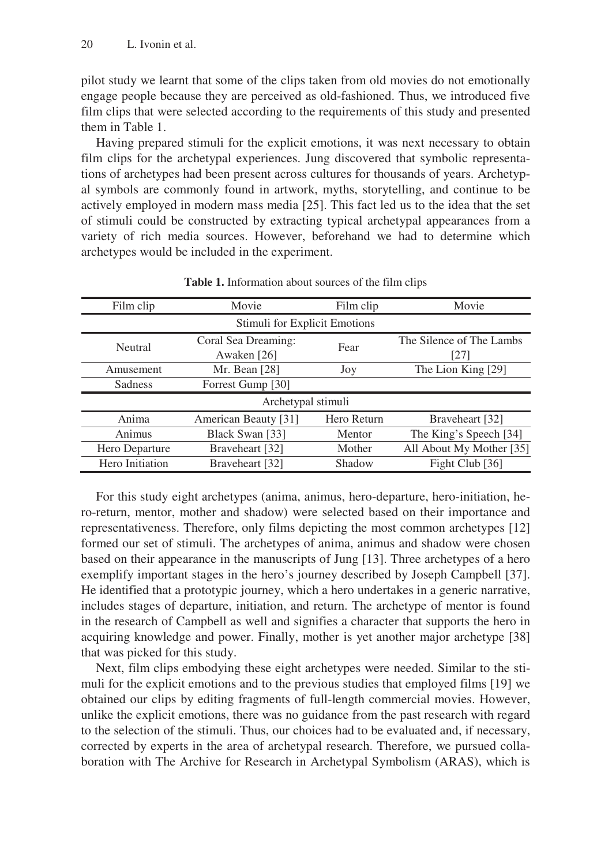pilot study we learnt that some of the clips taken from old movies do not emotionally engage people because they are perceived as old-fashioned. Thus, we introduced five film clips that were selected according to the requirements of this study and presented them in Table 1.

Having prepared stimuli for the explicit emotions, it was next necessary to obtain film clips for the archetypal experiences. Jung discovered that symbolic representations of archetypes had been present across cultures for thousands of years. Archetypal symbols are commonly found in artwork, myths, storytelling, and continue to be actively employed in modern mass media [25]. This fact led us to the idea that the set of stimuli could be constructed by extracting typical archetypal appearances from a variety of rich media sources. However, beforehand we had to determine which archetypes would be included in the experiment.

| Film clip                     | Movie                                      | Film clip   | Movie                            |  |  |  |  |  |
|-------------------------------|--------------------------------------------|-------------|----------------------------------|--|--|--|--|--|
| Stimuli for Explicit Emotions |                                            |             |                                  |  |  |  |  |  |
| Neutral                       | Coral Sea Dreaming:<br>Fear<br>Awaken [26] |             | The Silence of The Lambs<br>[27] |  |  |  |  |  |
| Amusement                     | Mr. Bean [28]                              | Joy         | The Lion King [29]               |  |  |  |  |  |
| Sadness                       | Forrest Gump [30]                          |             |                                  |  |  |  |  |  |
| Archetypal stimuli            |                                            |             |                                  |  |  |  |  |  |
| Anima                         | American Beauty [31]                       | Hero Return | Braveheart [32]                  |  |  |  |  |  |
| Animus                        | Black Swan [33]                            | Mentor      | The King's Speech [34]           |  |  |  |  |  |
| Hero Departure                | Braveheart [32]                            | Mother      | All About My Mother [35]         |  |  |  |  |  |
| Hero Initiation               | Braveheart [32]                            | Shadow      | Fight Club [36]                  |  |  |  |  |  |

**Table 1.** Information about sources of the film clips

For this study eight archetypes (anima, animus, hero-departure, hero-initiation, hero-return, mentor, mother and shadow) were selected based on their importance and representativeness. Therefore, only films depicting the most common archetypes [12] formed our set of stimuli. The archetypes of anima, animus and shadow were chosen based on their appearance in the manuscripts of Jung [13]. Three archetypes of a hero exemplify important stages in the hero's journey described by Joseph Campbell [37]. He identified that a prototypic journey, which a hero undertakes in a generic narrative, includes stages of departure, initiation, and return. The archetype of mentor is found in the research of Campbell as well and signifies a character that supports the hero in acquiring knowledge and power. Finally, mother is yet another major archetype [38] that was picked for this study.

Next, film clips embodying these eight archetypes were needed. Similar to the stimuli for the explicit emotions and to the previous studies that employed films [19] we obtained our clips by editing fragments of full-length commercial movies. However, unlike the explicit emotions, there was no guidance from the past research with regard to the selection of the stimuli. Thus, our choices had to be evaluated and, if necessary, corrected by experts in the area of archetypal research. Therefore, we pursued collaboration with The Archive for Research in Archetypal Symbolism (ARAS), which is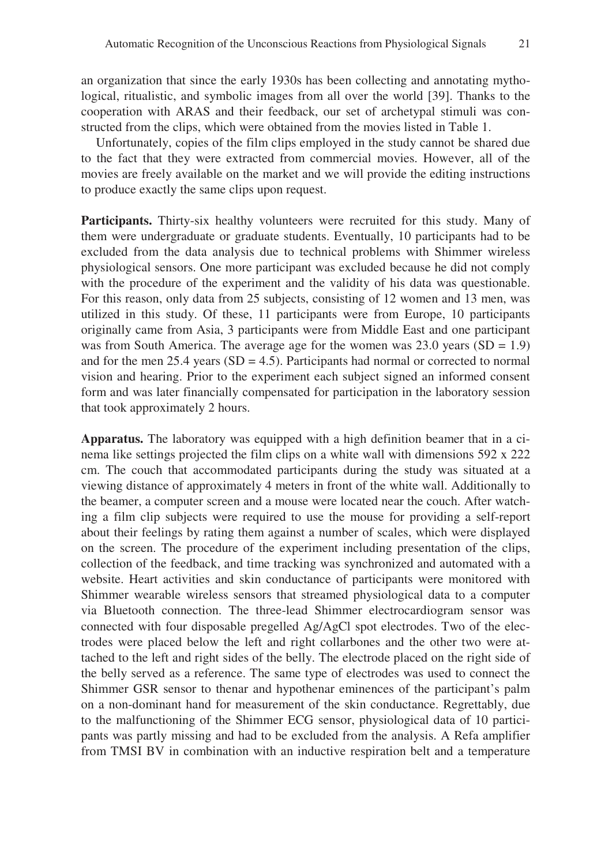an organization that since the early 1930s has been collecting and annotating mythological, ritualistic, and symbolic images from all over the world [39]. Thanks to the cooperation with ARAS and their feedback, our set of archetypal stimuli was constructed from the clips, which were obtained from the movies listed in Table 1.

Unfortunately, copies of the film clips employed in the study cannot be shared due to the fact that they were extracted from commercial movies. However, all of the movies are freely available on the market and we will provide the editing instructions to produce exactly the same clips upon request.

**Participants.** Thirty-six healthy volunteers were recruited for this study. Many of them were undergraduate or graduate students. Eventually, 10 participants had to be excluded from the data analysis due to technical problems with Shimmer wireless physiological sensors. One more participant was excluded because he did not comply with the procedure of the experiment and the validity of his data was questionable. For this reason, only data from 25 subjects, consisting of 12 women and 13 men, was utilized in this study. Of these, 11 participants were from Europe, 10 participants originally came from Asia, 3 participants were from Middle East and one participant was from South America. The average age for the women was  $23.0$  years (SD = 1.9) and for the men  $25.4$  years (SD = 4.5). Participants had normal or corrected to normal vision and hearing. Prior to the experiment each subject signed an informed consent form and was later financially compensated for participation in the laboratory session that took approximately 2 hours.

**Apparatus.** The laboratory was equipped with a high definition beamer that in a cinema like settings projected the film clips on a white wall with dimensions 592 x 222 cm. The couch that accommodated participants during the study was situated at a viewing distance of approximately 4 meters in front of the white wall. Additionally to the beamer, a computer screen and a mouse were located near the couch. After watching a film clip subjects were required to use the mouse for providing a self-report about their feelings by rating them against a number of scales, which were displayed on the screen. The procedure of the experiment including presentation of the clips, collection of the feedback, and time tracking was synchronized and automated with a website. Heart activities and skin conductance of participants were monitored with Shimmer wearable wireless sensors that streamed physiological data to a computer via Bluetooth connection. The three-lead Shimmer electrocardiogram sensor was connected with four disposable pregelled Ag/AgCl spot electrodes. Two of the electrodes were placed below the left and right collarbones and the other two were attached to the left and right sides of the belly. The electrode placed on the right side of the belly served as a reference. The same type of electrodes was used to connect the Shimmer GSR sensor to thenar and hypothenar eminences of the participant's palm on a non-dominant hand for measurement of the skin conductance. Regrettably, due to the malfunctioning of the Shimmer ECG sensor, physiological data of 10 participants was partly missing and had to be excluded from the analysis. A Refa amplifier from TMSI BV in combination with an inductive respiration belt and a temperature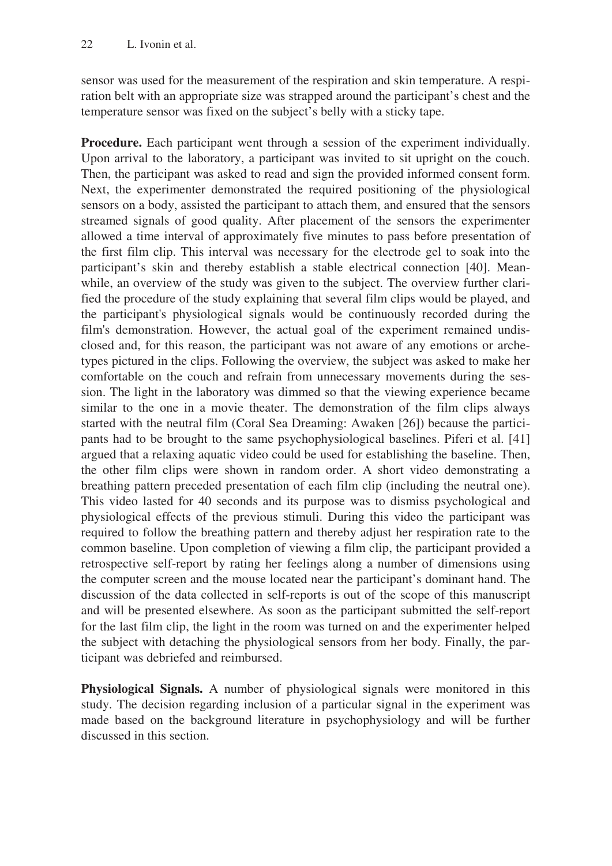sensor was used for the measurement of the respiration and skin temperature. A respiration belt with an appropriate size was strapped around the participant's chest and the temperature sensor was fixed on the subject's belly with a sticky tape.

**Procedure.** Each participant went through a session of the experiment individually. Upon arrival to the laboratory, a participant was invited to sit upright on the couch. Then, the participant was asked to read and sign the provided informed consent form. Next, the experimenter demonstrated the required positioning of the physiological sensors on a body, assisted the participant to attach them, and ensured that the sensors streamed signals of good quality. After placement of the sensors the experimenter allowed a time interval of approximately five minutes to pass before presentation of the first film clip. This interval was necessary for the electrode gel to soak into the participant's skin and thereby establish a stable electrical connection [40]. Meanwhile, an overview of the study was given to the subject. The overview further clarified the procedure of the study explaining that several film clips would be played, and the participant's physiological signals would be continuously recorded during the film's demonstration. However, the actual goal of the experiment remained undisclosed and, for this reason, the participant was not aware of any emotions or archetypes pictured in the clips. Following the overview, the subject was asked to make her comfortable on the couch and refrain from unnecessary movements during the session. The light in the laboratory was dimmed so that the viewing experience became similar to the one in a movie theater. The demonstration of the film clips always started with the neutral film (Coral Sea Dreaming: Awaken [26]) because the participants had to be brought to the same psychophysiological baselines. Piferi et al. [41] argued that a relaxing aquatic video could be used for establishing the baseline. Then, the other film clips were shown in random order. A short video demonstrating a breathing pattern preceded presentation of each film clip (including the neutral one). This video lasted for 40 seconds and its purpose was to dismiss psychological and physiological effects of the previous stimuli. During this video the participant was required to follow the breathing pattern and thereby adjust her respiration rate to the common baseline. Upon completion of viewing a film clip, the participant provided a retrospective self-report by rating her feelings along a number of dimensions using the computer screen and the mouse located near the participant's dominant hand. The discussion of the data collected in self-reports is out of the scope of this manuscript and will be presented elsewhere. As soon as the participant submitted the self-report for the last film clip, the light in the room was turned on and the experimenter helped the subject with detaching the physiological sensors from her body. Finally, the participant was debriefed and reimbursed.

**Physiological Signals.** A number of physiological signals were monitored in this study. The decision regarding inclusion of a particular signal in the experiment was made based on the background literature in psychophysiology and will be further discussed in this section.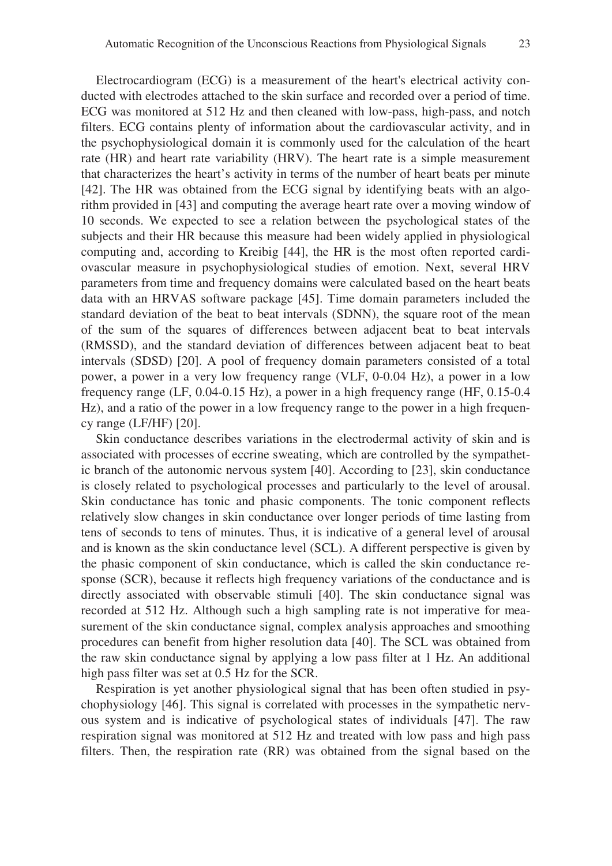Electrocardiogram (ECG) is a measurement of the heart's electrical activity conducted with electrodes attached to the skin surface and recorded over a period of time. ECG was monitored at 512 Hz and then cleaned with low-pass, high-pass, and notch filters. ECG contains plenty of information about the cardiovascular activity, and in the psychophysiological domain it is commonly used for the calculation of the heart rate (HR) and heart rate variability (HRV). The heart rate is a simple measurement that characterizes the heart's activity in terms of the number of heart beats per minute [42]. The HR was obtained from the ECG signal by identifying beats with an algorithm provided in [43] and computing the average heart rate over a moving window of 10 seconds. We expected to see a relation between the psychological states of the subjects and their HR because this measure had been widely applied in physiological computing and, according to Kreibig [44], the HR is the most often reported cardiovascular measure in psychophysiological studies of emotion. Next, several HRV parameters from time and frequency domains were calculated based on the heart beats data with an HRVAS software package [45]. Time domain parameters included the standard deviation of the beat to beat intervals (SDNN), the square root of the mean of the sum of the squares of differences between adjacent beat to beat intervals (RMSSD), and the standard deviation of differences between adjacent beat to beat intervals (SDSD) [20]. A pool of frequency domain parameters consisted of a total power, a power in a very low frequency range (VLF, 0-0.04 Hz), a power in a low frequency range (LF, 0.04-0.15 Hz), a power in a high frequency range (HF, 0.15-0.4 Hz), and a ratio of the power in a low frequency range to the power in a high frequency range (LF/HF) [20].

Skin conductance describes variations in the electrodermal activity of skin and is associated with processes of eccrine sweating, which are controlled by the sympathetic branch of the autonomic nervous system [40]. According to [23], skin conductance is closely related to psychological processes and particularly to the level of arousal. Skin conductance has tonic and phasic components. The tonic component reflects relatively slow changes in skin conductance over longer periods of time lasting from tens of seconds to tens of minutes. Thus, it is indicative of a general level of arousal and is known as the skin conductance level (SCL). A different perspective is given by the phasic component of skin conductance, which is called the skin conductance response (SCR), because it reflects high frequency variations of the conductance and is directly associated with observable stimuli [40]. The skin conductance signal was recorded at 512 Hz. Although such a high sampling rate is not imperative for measurement of the skin conductance signal, complex analysis approaches and smoothing procedures can benefit from higher resolution data [40]. The SCL was obtained from the raw skin conductance signal by applying a low pass filter at 1 Hz. An additional high pass filter was set at 0.5 Hz for the SCR.

Respiration is yet another physiological signal that has been often studied in psychophysiology [46]. This signal is correlated with processes in the sympathetic nervous system and is indicative of psychological states of individuals [47]. The raw respiration signal was monitored at 512 Hz and treated with low pass and high pass filters. Then, the respiration rate (RR) was obtained from the signal based on the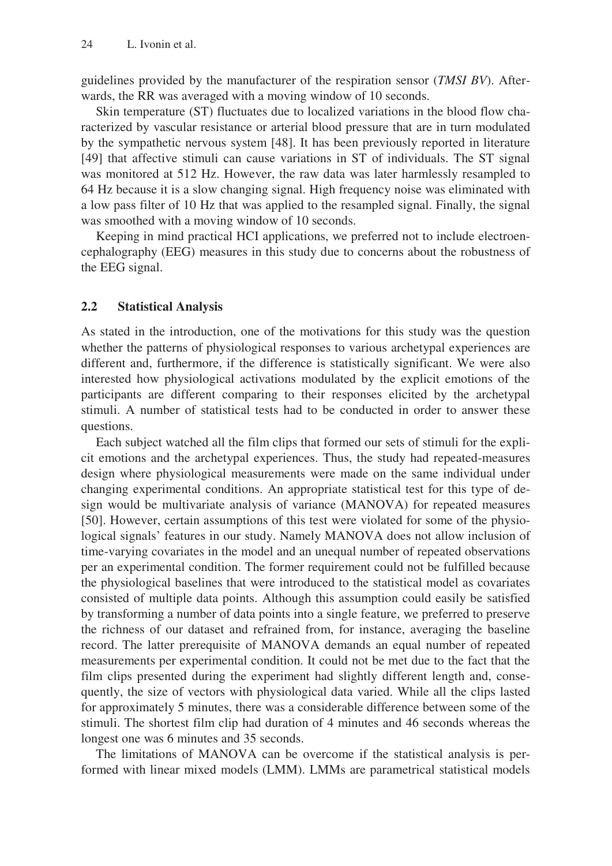guidelines provided by the manufacturer of the respiration sensor (*TMSI BV*). Afterwards, the RR was averaged with a moving window of 10 seconds.

Skin temperature (ST) fluctuates due to localized variations in the blood flow characterized by vascular resistance or arterial blood pressure that are in turn modulated by the sympathetic nervous system [48]. It has been previously reported in literature [49] that affective stimuli can cause variations in ST of individuals. The ST signal was monitored at 512 Hz. However, the raw data was later harmlessly resampled to 64 Hz because it is a slow changing signal. High frequency noise was eliminated with a low pass filter of 10 Hz that was applied to the resampled signal. Finally, the signal was smoothed with a moving window of 10 seconds.

Keeping in mind practical HCI applications, we preferred not to include electroencephalography (EEG) measures in this study due to concerns about the robustness of the EEG signal.

#### **2.2 Statistical Analysis**

As stated in the introduction, one of the motivations for this study was the question whether the patterns of physiological responses to various archetypal experiences are different and, furthermore, if the difference is statistically significant. We were also interested how physiological activations modulated by the explicit emotions of the participants are different comparing to their responses elicited by the archetypal stimuli. A number of statistical tests had to be conducted in order to answer these questions.

Each subject watched all the film clips that formed our sets of stimuli for the explicit emotions and the archetypal experiences. Thus, the study had repeated-measures design where physiological measurements were made on the same individual under changing experimental conditions. An appropriate statistical test for this type of design would be multivariate analysis of variance (MANOVA) for repeated measures [50]. However, certain assumptions of this test were violated for some of the physiological signals' features in our study. Namely MANOVA does not allow inclusion of time-varying covariates in the model and an unequal number of repeated observations per an experimental condition. The former requirement could not be fulfilled because the physiological baselines that were introduced to the statistical model as covariates consisted of multiple data points. Although this assumption could easily be satisfied by transforming a number of data points into a single feature, we preferred to preserve the richness of our dataset and refrained from, for instance, averaging the baseline record. The latter prerequisite of MANOVA demands an equal number of repeated measurements per experimental condition. It could not be met due to the fact that the film clips presented during the experiment had slightly different length and, consequently, the size of vectors with physiological data varied. While all the clips lasted for approximately 5 minutes, there was a considerable difference between some of the stimuli. The shortest film clip had duration of 4 minutes and 46 seconds whereas the longest one was 6 minutes and 35 seconds.

The limitations of MANOVA can be overcome if the statistical analysis is performed with linear mixed models (LMM). LMMs are parametrical statistical models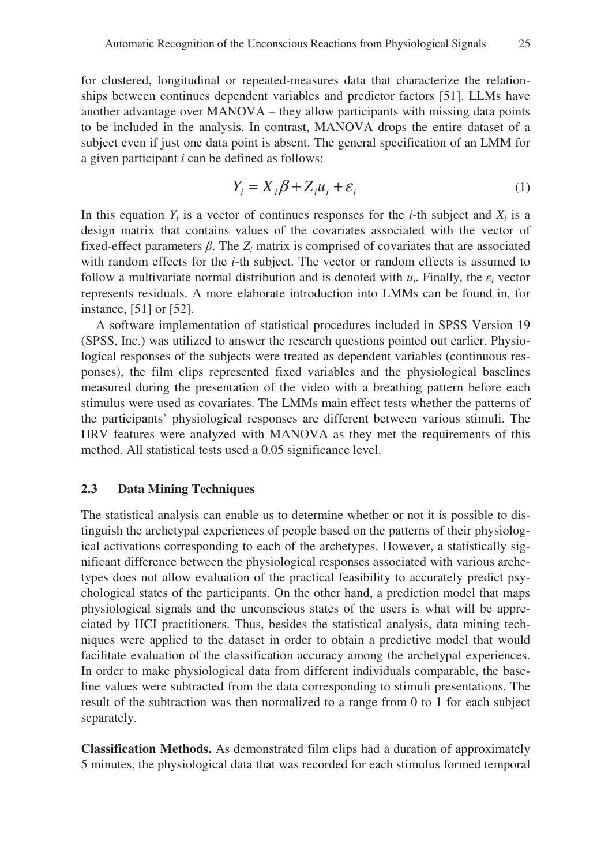for clustered, longitudinal or repeated-measures data that characterize the relationships between continues dependent variables and predictor factors [51]. LLMs have another advantage over MANOVA – they allow participants with missing data points to be included in the analysis. In contrast, MANOVA drops the entire dataset of a subject even if just one data point is absent. The general specification of an LMM for a given participant *i* can be defined as follows:

$$
Y_i = X_i \beta + Z_i u_i + \varepsilon_i \tag{1}
$$

In this equation  $Y_i$  is a vector of continues responses for the *i*-th subject and  $X_i$  is a design matrix that contains values of the covariates associated with the vector of fixed-effect parameters  $\beta$ . The  $Z_i$  matrix is comprised of covariates that are associated with random effects for the *i*-th subject. The vector or random effects is assumed to follow a multivariate normal distribution and is denoted with  $u_i$ . Finally, the  $\varepsilon_i$  vector represents residuals. A more elaborate introduction into LMMs can be found in, for instance, [51] or [52].

A software implementation of statistical procedures included in SPSS Version 19 (SPSS, Inc.) was utilized to answer the research questions pointed out earlier. Physiological responses of the subjects were treated as dependent variables (continuous responses), the film clips represented fixed variables and the physiological baselines measured during the presentation of the video with a breathing pattern before each stimulus were used as covariates. The LMMs main effect tests whether the patterns of the participants' physiological responses are different between various stimuli. The HRV features were analyzed with MANOVA as they met the requirements of this method. All statistical tests used a 0.05 significance level.

#### **2.3 Data Mining Techniques**

The statistical analysis can enable us to determine whether or not it is possible to distinguish the archetypal experiences of people based on the patterns of their physiological activations corresponding to each of the archetypes. However, a statistically significant difference between the physiological responses associated with various archetypes does not allow evaluation of the practical feasibility to accurately predict psychological states of the participants. On the other hand, a prediction model that maps physiological signals and the unconscious states of the users is what will be appreciated by HCI practitioners. Thus, besides the statistical analysis, data mining techniques were applied to the dataset in order to obtain a predictive model that would facilitate evaluation of the classification accuracy among the archetypal experiences. In order to make physiological data from different individuals comparable, the baseline values were subtracted from the data corresponding to stimuli presentations. The result of the subtraction was then normalized to a range from 0 to 1 for each subject separately.

**Classification Methods.** As demonstrated film clips had a duration of approximately 5 minutes, the physiological data that was recorded for each stimulus formed temporal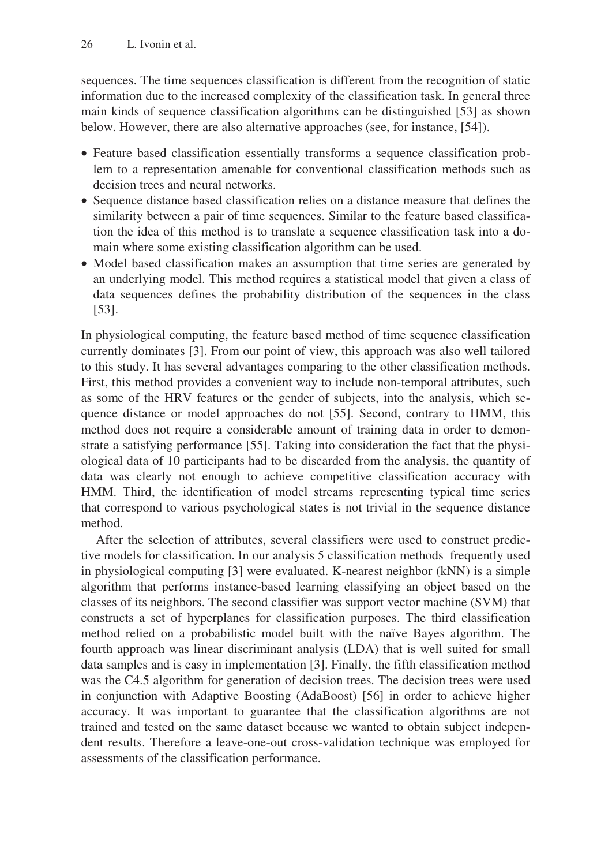sequences. The time sequences classification is different from the recognition of static information due to the increased complexity of the classification task. In general three main kinds of sequence classification algorithms can be distinguished [53] as shown below. However, there are also alternative approaches (see, for instance, [54]).

- Feature based classification essentially transforms a sequence classification problem to a representation amenable for conventional classification methods such as decision trees and neural networks.
- Sequence distance based classification relies on a distance measure that defines the similarity between a pair of time sequences. Similar to the feature based classification the idea of this method is to translate a sequence classification task into a domain where some existing classification algorithm can be used.
- Model based classification makes an assumption that time series are generated by an underlying model. This method requires a statistical model that given a class of data sequences defines the probability distribution of the sequences in the class [53].

In physiological computing, the feature based method of time sequence classification currently dominates [3]. From our point of view, this approach was also well tailored to this study. It has several advantages comparing to the other classification methods. First, this method provides a convenient way to include non-temporal attributes, such as some of the HRV features or the gender of subjects, into the analysis, which sequence distance or model approaches do not [55]. Second, contrary to HMM, this method does not require a considerable amount of training data in order to demonstrate a satisfying performance [55]. Taking into consideration the fact that the physiological data of 10 participants had to be discarded from the analysis, the quantity of data was clearly not enough to achieve competitive classification accuracy with HMM. Third, the identification of model streams representing typical time series that correspond to various psychological states is not trivial in the sequence distance method.

After the selection of attributes, several classifiers were used to construct predictive models for classification. In our analysis 5 classification methods frequently used in physiological computing [3] were evaluated. K-nearest neighbor (kNN) is a simple algorithm that performs instance-based learning classifying an object based on the classes of its neighbors. The second classifier was support vector machine (SVM) that constructs a set of hyperplanes for classification purposes. The third classification method relied on a probabilistic model built with the naïve Bayes algorithm. The fourth approach was linear discriminant analysis (LDA) that is well suited for small data samples and is easy in implementation [3]. Finally, the fifth classification method was the C4.5 algorithm for generation of decision trees. The decision trees were used in conjunction with Adaptive Boosting (AdaBoost) [56] in order to achieve higher accuracy. It was important to guarantee that the classification algorithms are not trained and tested on the same dataset because we wanted to obtain subject independent results. Therefore a leave-one-out cross-validation technique was employed for assessments of the classification performance.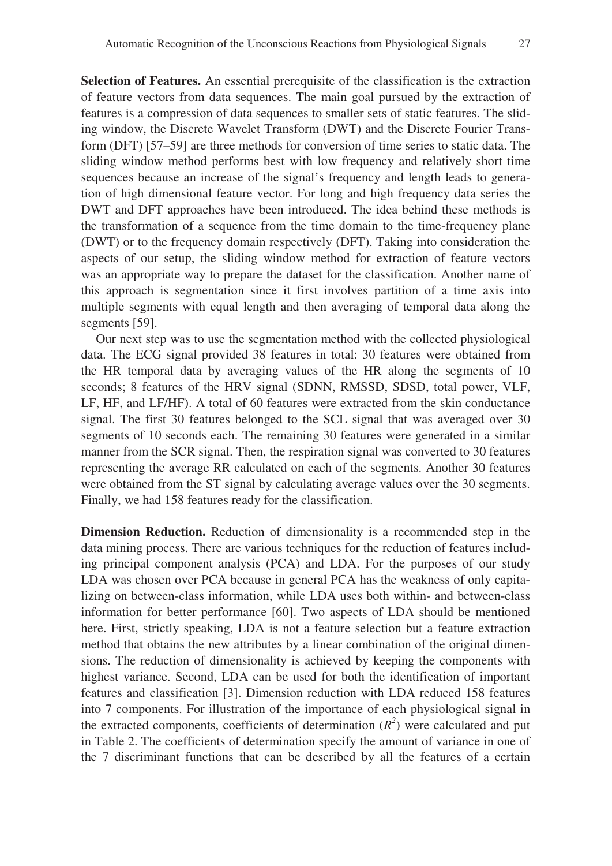**Selection of Features.** An essential prerequisite of the classification is the extraction of feature vectors from data sequences. The main goal pursued by the extraction of features is a compression of data sequences to smaller sets of static features. The sliding window, the Discrete Wavelet Transform (DWT) and the Discrete Fourier Transform (DFT) [57–59] are three methods for conversion of time series to static data. The sliding window method performs best with low frequency and relatively short time sequences because an increase of the signal's frequency and length leads to generation of high dimensional feature vector. For long and high frequency data series the DWT and DFT approaches have been introduced. The idea behind these methods is the transformation of a sequence from the time domain to the time-frequency plane (DWT) or to the frequency domain respectively (DFT). Taking into consideration the aspects of our setup, the sliding window method for extraction of feature vectors was an appropriate way to prepare the dataset for the classification. Another name of this approach is segmentation since it first involves partition of a time axis into multiple segments with equal length and then averaging of temporal data along the segments [59].

Our next step was to use the segmentation method with the collected physiological data. The ECG signal provided 38 features in total: 30 features were obtained from the HR temporal data by averaging values of the HR along the segments of 10 seconds; 8 features of the HRV signal (SDNN, RMSSD, SDSD, total power, VLF, LF, HF, and LF/HF). A total of 60 features were extracted from the skin conductance signal. The first 30 features belonged to the SCL signal that was averaged over 30 segments of 10 seconds each. The remaining 30 features were generated in a similar manner from the SCR signal. Then, the respiration signal was converted to 30 features representing the average RR calculated on each of the segments. Another 30 features were obtained from the ST signal by calculating average values over the 30 segments. Finally, we had 158 features ready for the classification.

**Dimension Reduction.** Reduction of dimensionality is a recommended step in the data mining process. There are various techniques for the reduction of features including principal component analysis (PCA) and LDA. For the purposes of our study LDA was chosen over PCA because in general PCA has the weakness of only capitalizing on between-class information, while LDA uses both within- and between-class information for better performance [60]. Two aspects of LDA should be mentioned here. First, strictly speaking, LDA is not a feature selection but a feature extraction method that obtains the new attributes by a linear combination of the original dimensions. The reduction of dimensionality is achieved by keeping the components with highest variance. Second, LDA can be used for both the identification of important features and classification [3]. Dimension reduction with LDA reduced 158 features into 7 components. For illustration of the importance of each physiological signal in the extracted components, coefficients of determination  $(R^2)$  were calculated and put in Table 2. The coefficients of determination specify the amount of variance in one of the 7 discriminant functions that can be described by all the features of a certain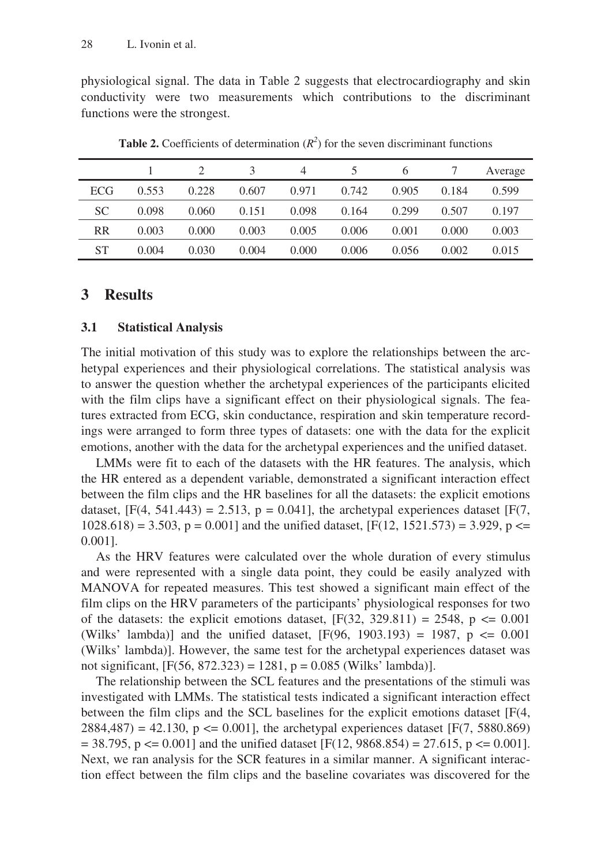physiological signal. The data in Table 2 suggests that electrocardiography and skin conductivity were two measurements which contributions to the discriminant functions were the strongest.

|           |       |       | 3     |       |       | $\sigma$ |       | Average |
|-----------|-------|-------|-------|-------|-------|----------|-------|---------|
| ECG       | 0.553 | 0.228 | 0.607 | 0.971 | 0.742 | 0.905    | 0.184 | 0.599   |
| <b>SC</b> | 0.098 | 0.060 | 0.151 | 0.098 | 0.164 | 0.299    | 0.507 | 0.197   |
| <b>RR</b> | 0.003 | 0.000 | 0.003 | 0.005 | 0.006 | 0.001    | 0.000 | 0.003   |
| <b>ST</b> | 0.004 | 0.030 | 0.004 | 0.000 | 0.006 | 0.056    | 0.002 | 0.015   |

**Table 2.** Coefficients of determination  $(R^2)$  for the seven discriminant functions

### **3 Results**

#### **3.1 Statistical Analysis**

The initial motivation of this study was to explore the relationships between the archetypal experiences and their physiological correlations. The statistical analysis was to answer the question whether the archetypal experiences of the participants elicited with the film clips have a significant effect on their physiological signals. The features extracted from ECG, skin conductance, respiration and skin temperature recordings were arranged to form three types of datasets: one with the data for the explicit emotions, another with the data for the archetypal experiences and the unified dataset.

LMMs were fit to each of the datasets with the HR features. The analysis, which the HR entered as a dependent variable, demonstrated a significant interaction effect between the film clips and the HR baselines for all the datasets: the explicit emotions dataset,  $[F(4, 541.443) = 2.513, p = 0.041]$ , the archetypal experiences dataset  $[F(7, 541.443) = 2.513, p = 0.041]$  $1028.618$  = 3.503, p = 0.001] and the unified dataset, [F(12, 1521.573) = 3.929, p <= 0.001].

As the HRV features were calculated over the whole duration of every stimulus and were represented with a single data point, they could be easily analyzed with MANOVA for repeated measures. This test showed a significant main effect of the film clips on the HRV parameters of the participants' physiological responses for two of the datasets: the explicit emotions dataset,  $[F(32, 329.811) = 2548, p \le 0.001]$ (Wilks' lambda)] and the unified dataset,  $[F(96, 1903.193) = 1987, p \le 0.001$ (Wilks' lambda)]. However, the same test for the archetypal experiences dataset was not significant,  $[F(56, 872.323) = 1281, p = 0.085$  (Wilks' lambda)].

The relationship between the SCL features and the presentations of the stimuli was investigated with LMMs. The statistical tests indicated a significant interaction effect between the film clips and the SCL baselines for the explicit emotions dataset [F(4,  $2884,487$  = 42.130, p <= 0.001], the archetypal experiences dataset [F(7, 5880.869)  $= 38.795$ , p  $\le 0.001$ ] and the unified dataset [F(12, 9868.854) = 27.615, p  $\le 0.001$ ]. Next, we ran analysis for the SCR features in a similar manner. A significant interaction effect between the film clips and the baseline covariates was discovered for the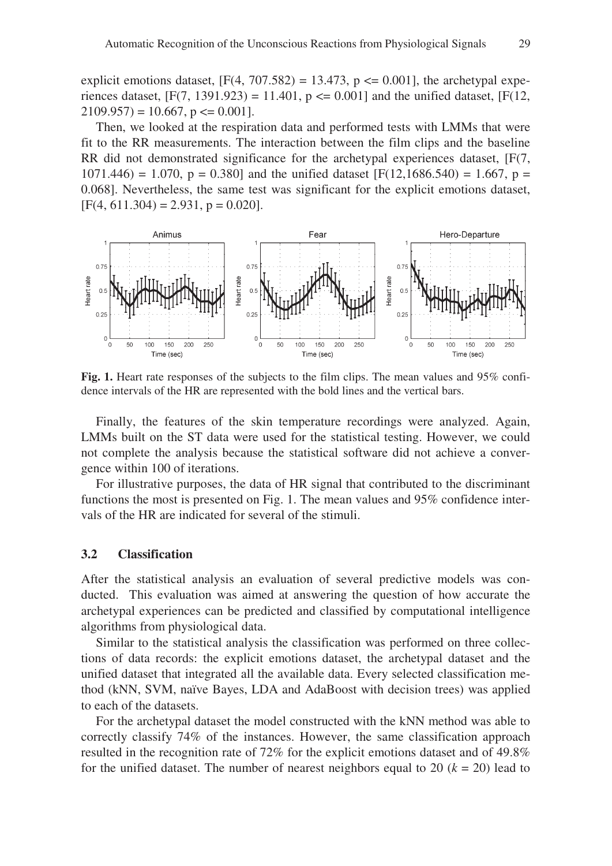explicit emotions dataset,  $[F(4, 707.582) = 13.473, p \le 0.001]$ , the archetypal experiences dataset,  $[F(7, 1391.923) = 11.401$ ,  $p \le 0.001$  and the unified dataset,  $[F(12, 1391.923) = 11.401$ ,  $p \le 0.001$  and the unified dataset,  $[F(12, 1391.923) = 11.401$  $2109.957 = 10.667$ , p <= 0.001].

Then, we looked at the respiration data and performed tests with LMMs that were fit to the RR measurements. The interaction between the film clips and the baseline RR did not demonstrated significance for the archetypal experiences dataset, [F(7, 1071.446) = 1.070, p = 0.380] and the unified dataset  $[F(12,1686.540) = 1.667, p =$ 0.068]. Nevertheless, the same test was significant for the explicit emotions dataset,  $[F(4, 611.304) = 2.931, p = 0.020].$ 



**Fig. 1.** Heart rate responses of the subjects to the film clips. The mean values and 95% confidence intervals of the HR are represented with the bold lines and the vertical bars.

Finally, the features of the skin temperature recordings were analyzed. Again, LMMs built on the ST data were used for the statistical testing. However, we could not complete the analysis because the statistical software did not achieve a convergence within 100 of iterations.

For illustrative purposes, the data of HR signal that contributed to the discriminant functions the most is presented on Fig. 1. The mean values and 95% confidence intervals of the HR are indicated for several of the stimuli.

#### **3.2 Classification**

After the statistical analysis an evaluation of several predictive models was conducted. This evaluation was aimed at answering the question of how accurate the archetypal experiences can be predicted and classified by computational intelligence algorithms from physiological data.

Similar to the statistical analysis the classification was performed on three collections of data records: the explicit emotions dataset, the archetypal dataset and the unified dataset that integrated all the available data. Every selected classification method (kNN, SVM, naïve Bayes, LDA and AdaBoost with decision trees) was applied to each of the datasets.

For the archetypal dataset the model constructed with the kNN method was able to correctly classify 74% of the instances. However, the same classification approach resulted in the recognition rate of 72% for the explicit emotions dataset and of 49.8% for the unified dataset. The number of nearest neighbors equal to 20  $(k = 20)$  lead to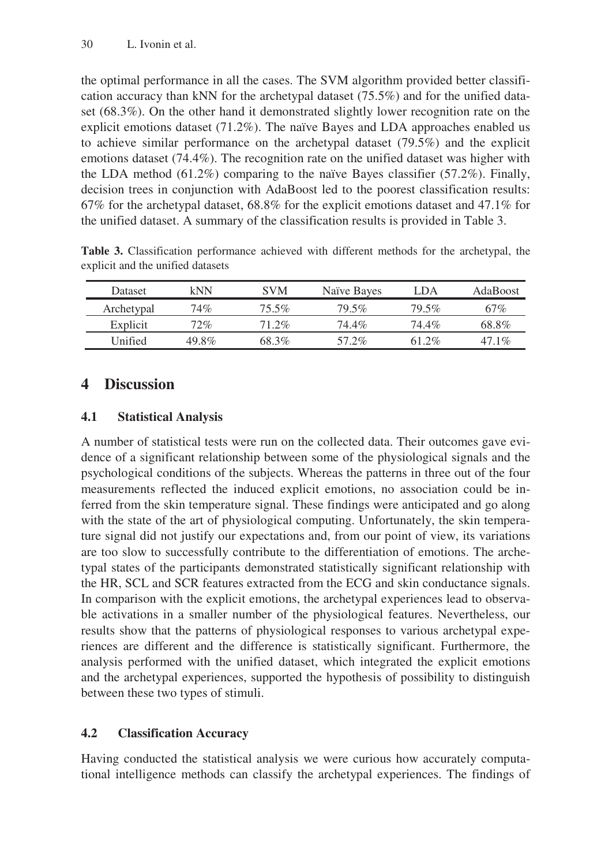the optimal performance in all the cases. The SVM algorithm provided better classification accuracy than kNN for the archetypal dataset (75.5%) and for the unified dataset (68.3%). On the other hand it demonstrated slightly lower recognition rate on the explicit emotions dataset (71.2%). The naïve Bayes and LDA approaches enabled us to achieve similar performance on the archetypal dataset (79.5%) and the explicit emotions dataset (74.4%). The recognition rate on the unified dataset was higher with the LDA method (61.2%) comparing to the naïve Bayes classifier (57.2%). Finally, decision trees in conjunction with AdaBoost led to the poorest classification results: 67% for the archetypal dataset, 68.8% for the explicit emotions dataset and 47.1% for the unified dataset. A summary of the classification results is provided in Table 3.

**Table 3.** Classification performance achieved with different methods for the archetypal, the explicit and the unified datasets

| Dataset    | kNN    | <b>SVM</b> | Naïve Bayes | LDA   | AdaBoost |
|------------|--------|------------|-------------|-------|----------|
| Archetypal | 74%    | $75.5\%$   | 79.5%       | 79.5% | 67%      |
| Explicit   | $72\%$ | 71 2%      | 74.4%       | 74.4% | 68.8%    |
| Unified    | 49 8%  | 68.3%      | 57.2%       | 61.2% | 47 1\%   |

# **4 Discussion**

### **4.1 Statistical Analysis**

A number of statistical tests were run on the collected data. Their outcomes gave evidence of a significant relationship between some of the physiological signals and the psychological conditions of the subjects. Whereas the patterns in three out of the four measurements reflected the induced explicit emotions, no association could be inferred from the skin temperature signal. These findings were anticipated and go along with the state of the art of physiological computing. Unfortunately, the skin temperature signal did not justify our expectations and, from our point of view, its variations are too slow to successfully contribute to the differentiation of emotions. The archetypal states of the participants demonstrated statistically significant relationship with the HR, SCL and SCR features extracted from the ECG and skin conductance signals. In comparison with the explicit emotions, the archetypal experiences lead to observable activations in a smaller number of the physiological features. Nevertheless, our results show that the patterns of physiological responses to various archetypal experiences are different and the difference is statistically significant. Furthermore, the analysis performed with the unified dataset, which integrated the explicit emotions and the archetypal experiences, supported the hypothesis of possibility to distinguish between these two types of stimuli.

### **4.2 Classification Accuracy**

Having conducted the statistical analysis we were curious how accurately computational intelligence methods can classify the archetypal experiences. The findings of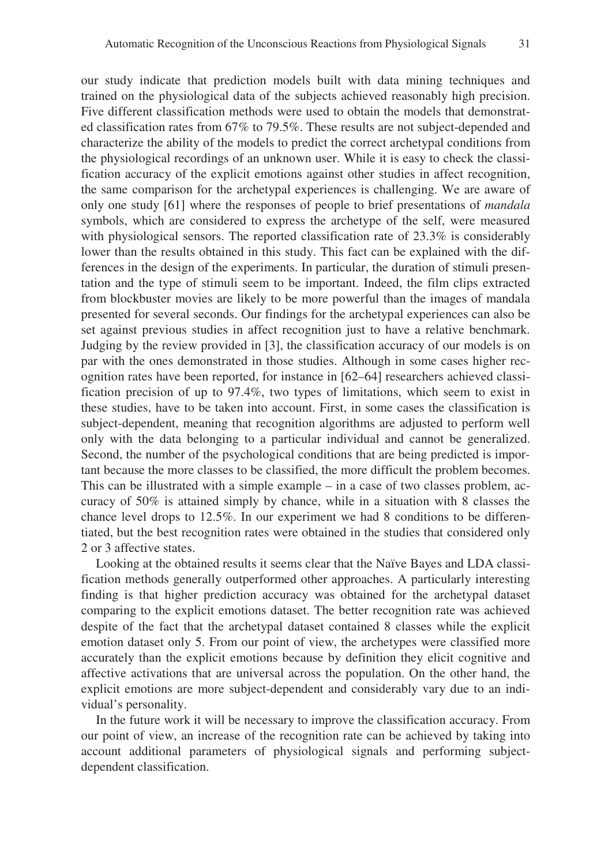our study indicate that prediction models built with data mining techniques and trained on the physiological data of the subjects achieved reasonably high precision. Five different classification methods were used to obtain the models that demonstrated classification rates from 67% to 79.5%. These results are not subject-depended and characterize the ability of the models to predict the correct archetypal conditions from the physiological recordings of an unknown user. While it is easy to check the classification accuracy of the explicit emotions against other studies in affect recognition, the same comparison for the archetypal experiences is challenging. We are aware of only one study [61] where the responses of people to brief presentations of *mandala* symbols, which are considered to express the archetype of the self, were measured with physiological sensors. The reported classification rate of 23.3% is considerably lower than the results obtained in this study. This fact can be explained with the differences in the design of the experiments. In particular, the duration of stimuli presentation and the type of stimuli seem to be important. Indeed, the film clips extracted from blockbuster movies are likely to be more powerful than the images of mandala presented for several seconds. Our findings for the archetypal experiences can also be set against previous studies in affect recognition just to have a relative benchmark. Judging by the review provided in [3], the classification accuracy of our models is on par with the ones demonstrated in those studies. Although in some cases higher recognition rates have been reported, for instance in [62–64] researchers achieved classification precision of up to 97.4%, two types of limitations, which seem to exist in these studies, have to be taken into account. First, in some cases the classification is subject-dependent, meaning that recognition algorithms are adjusted to perform well only with the data belonging to a particular individual and cannot be generalized. Second, the number of the psychological conditions that are being predicted is important because the more classes to be classified, the more difficult the problem becomes. This can be illustrated with a simple example – in a case of two classes problem, accuracy of 50% is attained simply by chance, while in a situation with 8 classes the chance level drops to 12.5%. In our experiment we had 8 conditions to be differentiated, but the best recognition rates were obtained in the studies that considered only 2 or 3 affective states.

Looking at the obtained results it seems clear that the Naïve Bayes and LDA classification methods generally outperformed other approaches. A particularly interesting finding is that higher prediction accuracy was obtained for the archetypal dataset comparing to the explicit emotions dataset. The better recognition rate was achieved despite of the fact that the archetypal dataset contained 8 classes while the explicit emotion dataset only 5. From our point of view, the archetypes were classified more accurately than the explicit emotions because by definition they elicit cognitive and affective activations that are universal across the population. On the other hand, the explicit emotions are more subject-dependent and considerably vary due to an individual's personality.

In the future work it will be necessary to improve the classification accuracy. From our point of view, an increase of the recognition rate can be achieved by taking into account additional parameters of physiological signals and performing subjectdependent classification.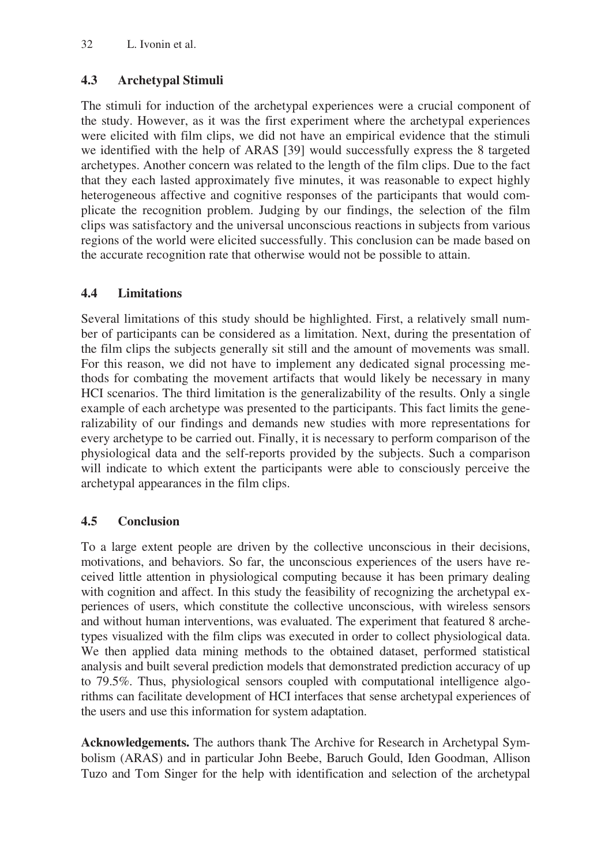### **4.3 Archetypal Stimuli**

The stimuli for induction of the archetypal experiences were a crucial component of the study. However, as it was the first experiment where the archetypal experiences were elicited with film clips, we did not have an empirical evidence that the stimuli we identified with the help of ARAS [39] would successfully express the 8 targeted archetypes. Another concern was related to the length of the film clips. Due to the fact that they each lasted approximately five minutes, it was reasonable to expect highly heterogeneous affective and cognitive responses of the participants that would complicate the recognition problem. Judging by our findings, the selection of the film clips was satisfactory and the universal unconscious reactions in subjects from various regions of the world were elicited successfully. This conclusion can be made based on the accurate recognition rate that otherwise would not be possible to attain.

### **4.4 Limitations**

Several limitations of this study should be highlighted. First, a relatively small number of participants can be considered as a limitation. Next, during the presentation of the film clips the subjects generally sit still and the amount of movements was small. For this reason, we did not have to implement any dedicated signal processing methods for combating the movement artifacts that would likely be necessary in many HCI scenarios. The third limitation is the generalizability of the results. Only a single example of each archetype was presented to the participants. This fact limits the generalizability of our findings and demands new studies with more representations for every archetype to be carried out. Finally, it is necessary to perform comparison of the physiological data and the self-reports provided by the subjects. Such a comparison will indicate to which extent the participants were able to consciously perceive the archetypal appearances in the film clips.

### **4.5 Conclusion**

To a large extent people are driven by the collective unconscious in their decisions, motivations, and behaviors. So far, the unconscious experiences of the users have received little attention in physiological computing because it has been primary dealing with cognition and affect. In this study the feasibility of recognizing the archetypal experiences of users, which constitute the collective unconscious, with wireless sensors and without human interventions, was evaluated. The experiment that featured 8 archetypes visualized with the film clips was executed in order to collect physiological data. We then applied data mining methods to the obtained dataset, performed statistical analysis and built several prediction models that demonstrated prediction accuracy of up to 79.5%. Thus, physiological sensors coupled with computational intelligence algorithms can facilitate development of HCI interfaces that sense archetypal experiences of the users and use this information for system adaptation.

**Acknowledgements.** The authors thank The Archive for Research in Archetypal Symbolism (ARAS) and in particular John Beebe, Baruch Gould, Iden Goodman, Allison Tuzo and Tom Singer for the help with identification and selection of the archetypal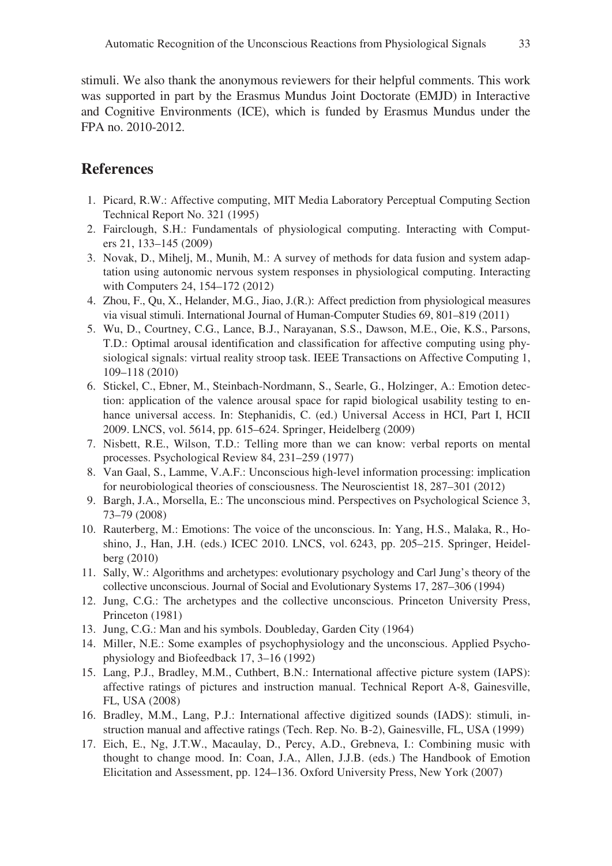stimuli. We also thank the anonymous reviewers for their helpful comments. This work was supported in part by the Erasmus Mundus Joint Doctorate (EMJD) in Interactive and Cognitive Environments (ICE), which is funded by Erasmus Mundus under the FPA no. 2010-2012.

## **References**

- 1. Picard, R.W.: Affective computing, MIT Media Laboratory Perceptual Computing Section Technical Report No. 321 (1995)
- 2. Fairclough, S.H.: Fundamentals of physiological computing. Interacting with Computers 21, 133–145 (2009)
- 3. Novak, D., Mihelj, M., Munih, M.: A survey of methods for data fusion and system adaptation using autonomic nervous system responses in physiological computing. Interacting with Computers 24, 154–172 (2012)
- 4. Zhou, F., Qu, X., Helander, M.G., Jiao, J.(R.): Affect prediction from physiological measures via visual stimuli. International Journal of Human-Computer Studies 69, 801–819 (2011)
- 5. Wu, D., Courtney, C.G., Lance, B.J., Narayanan, S.S., Dawson, M.E., Oie, K.S., Parsons, T.D.: Optimal arousal identification and classification for affective computing using physiological signals: virtual reality stroop task. IEEE Transactions on Affective Computing 1, 109–118 (2010)
- 6. Stickel, C., Ebner, M., Steinbach-Nordmann, S., Searle, G., Holzinger, A.: Emotion detection: application of the valence arousal space for rapid biological usability testing to enhance universal access. In: Stephanidis, C. (ed.) Universal Access in HCI, Part I, HCII 2009. LNCS, vol. 5614, pp. 615–624. Springer, Heidelberg (2009)
- 7. Nisbett, R.E., Wilson, T.D.: Telling more than we can know: verbal reports on mental processes. Psychological Review 84, 231–259 (1977)
- 8. Van Gaal, S., Lamme, V.A.F.: Unconscious high-level information processing: implication for neurobiological theories of consciousness. The Neuroscientist 18, 287–301 (2012)
- 9. Bargh, J.A., Morsella, E.: The unconscious mind. Perspectives on Psychological Science 3, 73–79 (2008)
- 10. Rauterberg, M.: Emotions: The voice of the unconscious. In: Yang, H.S., Malaka, R., Hoshino, J., Han, J.H. (eds.) ICEC 2010. LNCS, vol. 6243, pp. 205–215. Springer, Heidelberg (2010)
- 11. Sally, W.: Algorithms and archetypes: evolutionary psychology and Carl Jung's theory of the collective unconscious. Journal of Social and Evolutionary Systems 17, 287–306 (1994)
- 12. Jung, C.G.: The archetypes and the collective unconscious. Princeton University Press, Princeton (1981)
- 13. Jung, C.G.: Man and his symbols. Doubleday, Garden City (1964)
- 14. Miller, N.E.: Some examples of psychophysiology and the unconscious. Applied Psychophysiology and Biofeedback 17, 3–16 (1992)
- 15. Lang, P.J., Bradley, M.M., Cuthbert, B.N.: International affective picture system (IAPS): affective ratings of pictures and instruction manual. Technical Report A-8, Gainesville, FL, USA (2008)
- 16. Bradley, M.M., Lang, P.J.: International affective digitized sounds (IADS): stimuli, instruction manual and affective ratings (Tech. Rep. No. B-2), Gainesville, FL, USA (1999)
- 17. Eich, E., Ng, J.T.W., Macaulay, D., Percy, A.D., Grebneva, I.: Combining music with thought to change mood. In: Coan, J.A., Allen, J.J.B. (eds.) The Handbook of Emotion Elicitation and Assessment, pp. 124–136. Oxford University Press, New York (2007)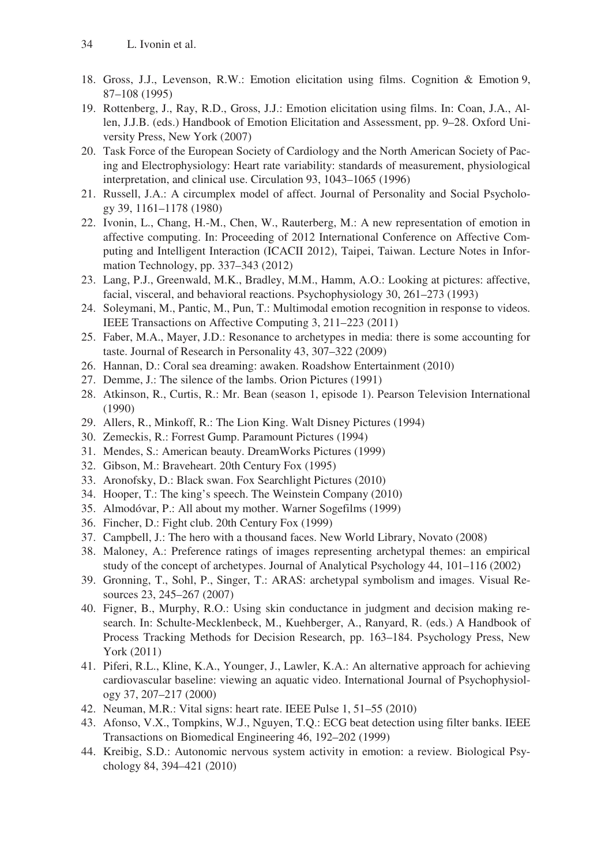- 18. Gross, J.J., Levenson, R.W.: Emotion elicitation using films. Cognition & Emotion 9, 87–108 (1995)
- 19. Rottenberg, J., Ray, R.D., Gross, J.J.: Emotion elicitation using films. In: Coan, J.A., Allen, J.J.B. (eds.) Handbook of Emotion Elicitation and Assessment, pp. 9–28. Oxford University Press, New York (2007)
- 20. Task Force of the European Society of Cardiology and the North American Society of Pacing and Electrophysiology: Heart rate variability: standards of measurement, physiological interpretation, and clinical use. Circulation 93, 1043–1065 (1996)
- 21. Russell, J.A.: A circumplex model of affect. Journal of Personality and Social Psychology 39, 1161–1178 (1980)
- 22. Ivonin, L., Chang, H.-M., Chen, W., Rauterberg, M.: A new representation of emotion in affective computing. In: Proceeding of 2012 International Conference on Affective Computing and Intelligent Interaction (ICACII 2012), Taipei, Taiwan. Lecture Notes in Information Technology, pp. 337–343 (2012)
- 23. Lang, P.J., Greenwald, M.K., Bradley, M.M., Hamm, A.O.: Looking at pictures: affective, facial, visceral, and behavioral reactions. Psychophysiology 30, 261–273 (1993)
- 24. Soleymani, M., Pantic, M., Pun, T.: Multimodal emotion recognition in response to videos. IEEE Transactions on Affective Computing 3, 211–223 (2011)
- 25. Faber, M.A., Mayer, J.D.: Resonance to archetypes in media: there is some accounting for taste. Journal of Research in Personality 43, 307–322 (2009)
- 26. Hannan, D.: Coral sea dreaming: awaken. Roadshow Entertainment (2010)
- 27. Demme, J.: The silence of the lambs. Orion Pictures (1991)
- 28. Atkinson, R., Curtis, R.: Mr. Bean (season 1, episode 1). Pearson Television International (1990)
- 29. Allers, R., Minkoff, R.: The Lion King. Walt Disney Pictures (1994)
- 30. Zemeckis, R.: Forrest Gump. Paramount Pictures (1994)
- 31. Mendes, S.: American beauty. DreamWorks Pictures (1999)
- 32. Gibson, M.: Braveheart. 20th Century Fox (1995)
- 33. Aronofsky, D.: Black swan. Fox Searchlight Pictures (2010)
- 34. Hooper, T.: The king's speech. The Weinstein Company (2010)
- 35. Almodóvar, P.: All about my mother. Warner Sogefilms (1999)
- 36. Fincher, D.: Fight club. 20th Century Fox (1999)
- 37. Campbell, J.: The hero with a thousand faces. New World Library, Novato (2008)
- 38. Maloney, A.: Preference ratings of images representing archetypal themes: an empirical study of the concept of archetypes. Journal of Analytical Psychology 44, 101–116 (2002)
- 39. Gronning, T., Sohl, P., Singer, T.: ARAS: archetypal symbolism and images. Visual Resources 23, 245–267 (2007)
- 40. Figner, B., Murphy, R.O.: Using skin conductance in judgment and decision making research. In: Schulte-Mecklenbeck, M., Kuehberger, A., Ranyard, R. (eds.) A Handbook of Process Tracking Methods for Decision Research, pp. 163–184. Psychology Press, New York (2011)
- 41. Piferi, R.L., Kline, K.A., Younger, J., Lawler, K.A.: An alternative approach for achieving cardiovascular baseline: viewing an aquatic video. International Journal of Psychophysiology 37, 207–217 (2000)
- 42. Neuman, M.R.: Vital signs: heart rate. IEEE Pulse 1, 51–55 (2010)
- 43. Afonso, V.X., Tompkins, W.J., Nguyen, T.Q.: ECG beat detection using filter banks. IEEE Transactions on Biomedical Engineering 46, 192–202 (1999)
- 44. Kreibig, S.D.: Autonomic nervous system activity in emotion: a review. Biological Psychology 84, 394–421 (2010)